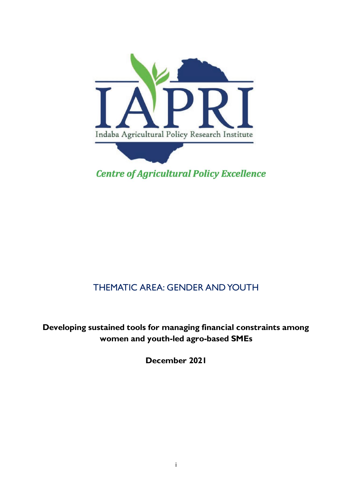

# THEMATIC AREA: GENDER AND YOUTH

**Developing sustained tools for managing financial constraints among women and youth-led agro-based SMEs**

**December 2021**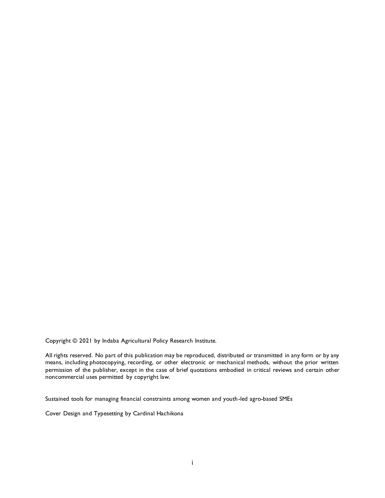Copyright © 2021 by Indaba Agricultural Policy Research Institute.

All rights reserved. No part of this publication may be reproduced, distributed or transmitted in any form or by any means, including photocopying, recording, or other electronic or mechanical methods, without the prior written permission of the publisher, except in the case of brief quotations embodied in critical reviews and certain other noncommercial uses permitted by copyright law.

Sustained tools for managing financial constraints among women and youth-led agro-based SMEs

Cover Design and Typesetting by Cardinal Hachikona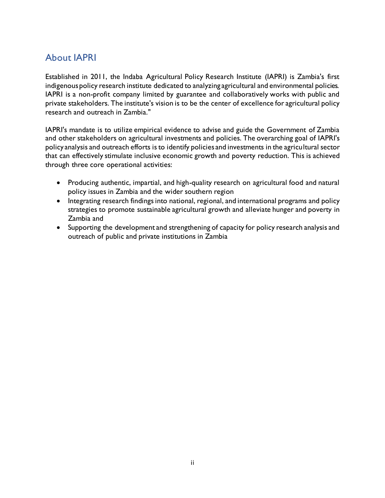## <span id="page-2-0"></span>About IAPRI

Established in 2011, the Indaba Agricultural Policy Research Institute (IAPRI) is Zambia's first indigenous policy research institute dedicated to analyzing agricultural and environmental policies. IAPRI is a non-profit company limited by guarantee and collaboratively works with public and private stakeholders. The institute's vision is to be the center of excellence for agricultural policy research and outreach in Zambia."

IAPRI's mandate is to utilize empirical evidence to advise and guide the Government of Zambia and other stakeholders on agricultural investments and policies. The overarching goal of IAPRI's policy analysis and outreach efforts is to identify policies and investments in the agricultural sector that can effectively stimulate inclusive economic growth and poverty reduction. This is achieved through three core operational activities:

- Producing authentic, impartial, and high-quality research on agricultural food and natural policy issues in Zambia and the wider southern region
- Integrating research findings into national, regional, and international programs and policy strategies to promote sustainable agricultural growth and alleviate hunger and poverty in Zambia and
- Supporting the development and strengthening of capacity for policy research analysis and outreach of public and private institutions in Zambia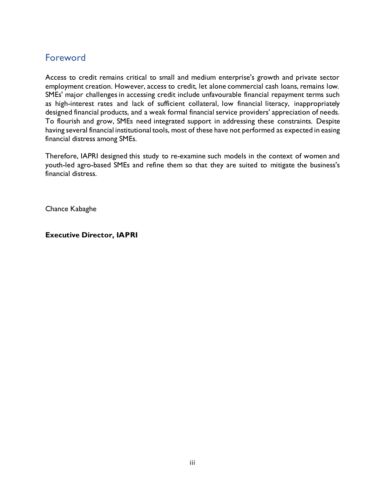## <span id="page-3-0"></span>**Foreword**

Access to credit remains critical to small and medium enterprise's growth and private sector employment creation. However, access to credit, let alone commercial cash loans, remains low. SMEs' major challenges in accessing credit include unfavourable financial repayment terms such as high-interest rates and lack of sufficient collateral, low financial literacy, inappropriately designed financial products, and a weak formal financial service providers' appreciation of needs. To flourish and grow, SMEs need integrated support in addressing these constraints. Despite having several financial institutional tools, most of these have not performed as expected in easing financial distress among SMEs.

Therefore, IAPRI designed this study to re-examine such models in the context of women and youth-led agro-based SMEs and refine them so that they are suited to mitigate the business's financial distress.

Chance Kabaghe

**Executive Director, IAPRI**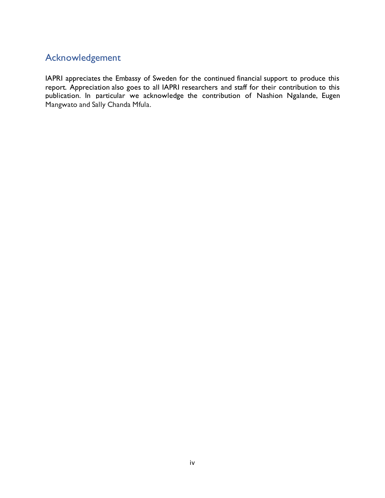## <span id="page-4-0"></span>Acknowledgement

IAPRI appreciates the Embassy of Sweden for the continued financial support to produce this report. Appreciation also goes to all IAPRI researchers and staff for their contribution to this publication. In particular we acknowledge the contribution of Nashion Ngalande, Eugen Mangwato and Sally Chanda Mfula.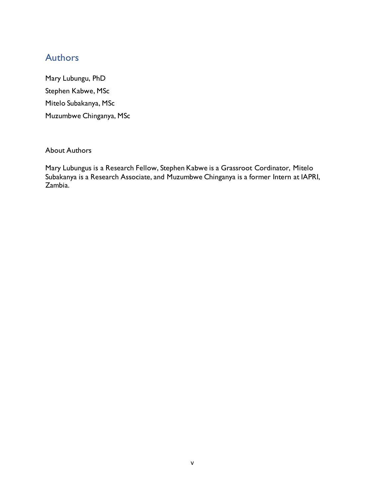## <span id="page-5-0"></span>**Authors**

Mary Lubungu, PhD Stephen Kabwe, MSc Mitelo Subakanya, MSc Muzumbwe Chinganya, MSc

About Authors

Mary Lubungus is a Research Fellow, Stephen Kabwe is a Grassroot Cordinator, Mitelo Subakanya is a Research Associate, and Muzumbwe Chinganya is a former Intern at IAPRI, Zambia.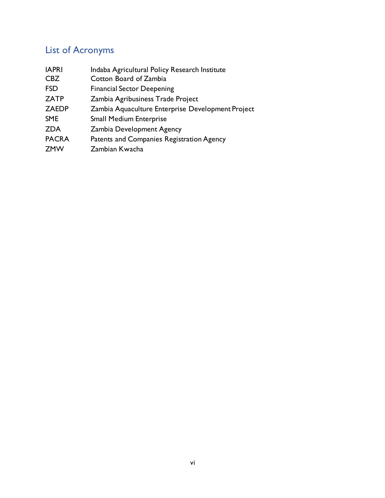# <span id="page-6-0"></span>List of Acronyms

| <b>IAPRI</b> | Indaba Agricultural Policy Research Institute     |  |  |  |
|--------------|---------------------------------------------------|--|--|--|
| <b>CBZ</b>   | Cotton Board of Zambia                            |  |  |  |
| <b>FSD</b>   | <b>Financial Sector Deepening</b>                 |  |  |  |
| <b>ZATP</b>  | Zambia Agribusiness Trade Project                 |  |  |  |
| <b>ZAEDP</b> | Zambia Aquaculture Enterprise Development Project |  |  |  |
| <b>SME</b>   | <b>Small Medium Enterprise</b>                    |  |  |  |
| <b>ZDA</b>   | <b>Zambia Development Agency</b>                  |  |  |  |
| <b>PACRA</b> | Patents and Companies Registration Agency         |  |  |  |
| <b>ZMW</b>   | Zambian Kwacha                                    |  |  |  |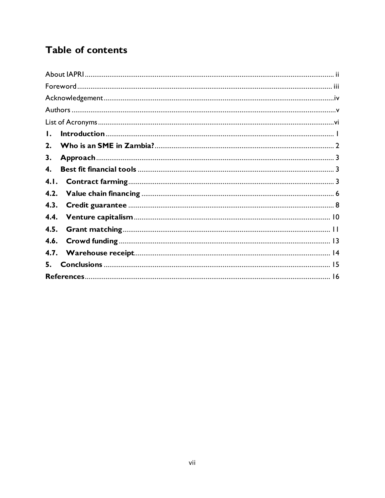# Table of contents

| Ι.   |  |
|------|--|
| 2.   |  |
| 3.   |  |
| 4.   |  |
| 4.1. |  |
| 4.2. |  |
| 4.3. |  |
| 4.4. |  |
| 4.5. |  |
| 4.6. |  |
| 4.7. |  |
|      |  |
|      |  |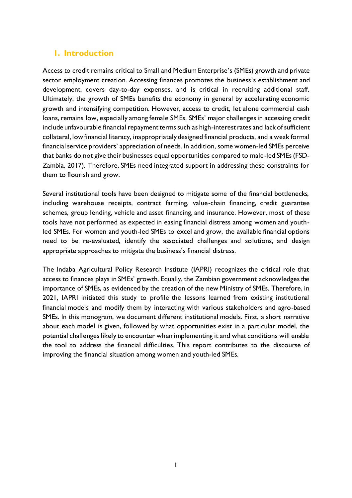## <span id="page-8-0"></span>**1. Introduction**

Access to credit remains critical to Small and Medium Enterprise's (SMEs) growth and private sector employment creation. Accessing finances promotes the business's establishment and development, covers day-to-day expenses, and is critical in recruiting additional staff. Ultimately, the growth of SMEs benefits the economy in general by accelerating economic growth and intensifying competition. However, access to credit, let alone commercial cash loans, remains low, especially among female SMEs. SMEs' major challenges in accessing credit include unfavourable financial repayment terms such as high-interest rates and lack of sufficient collateral, low financial literacy, inappropriately designed financial products, and a weak formal financial service providers' appreciation of needs. In addition, some women-led SMEs perceive that banks do not give their businesses equal opportunities compared to male-led SMEs (FSD-Zambia, 2017). Therefore, SMEs need integrated support in addressing these constraints for them to flourish and grow.

Several institutional tools have been designed to mitigate some of the financial bottlenecks, including warehouse receipts, contract farming, value-chain financing, credit guarantee schemes, group lending, vehicle and asset financing, and insurance. However, most of these tools have not performed as expected in easing financial distress among women and youthled SMEs. For women and youth-led SMEs to excel and grow, the available financial options need to be re-evaluated, identify the associated challenges and solutions, and design appropriate approaches to mitigate the business's financial distress.

The Indaba Agricultural Policy Research Institute (IAPRI) recognizes the critical role that access to finances plays in SMEs' growth. Equally, the Zambian government acknowledges the importance of SMEs, as evidenced by the creation of the new Ministry of SMEs. Therefore, in 2021, IAPRI initiated this study to profile the lessons learned from existing institutional financial models and modify them by interacting with various stakeholders and agro-based SMEs. In this monogram, we document different institutional models. First, a short narrative about each model is given, followed by what opportunities exist in a particular model, the potential challenges likely to encounter when implementing it and what conditions will enable the tool to address the financial difficulties. This report contributes to the discourse of improving the financial situation among women and youth-led SMEs.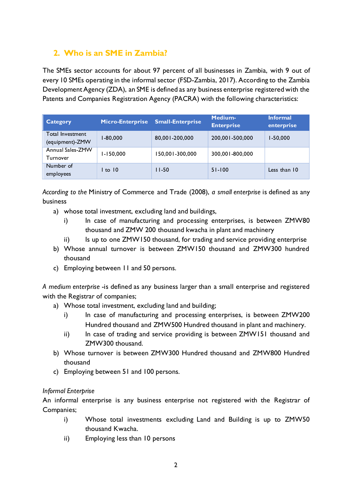## <span id="page-9-0"></span>**2. Who is an SME in Zambia?**

The SMEs sector accounts for about 97 percent of all businesses in Zambia, with 9 out of every 10 SMEs operating in the informal sector (FSD-Zambia, 2017). According to the Zambia Development Agency (ZDA), an SME is defined as any business enterprise registered with the Patents and Companies Registration Agency (PACRA) with the following characteristics:

| Category                            | Micro-Enterprise | <b>Small-Enterprise</b> | Medium-<br><b>Enterprise</b> | <b>Informal</b><br>enterprise |
|-------------------------------------|------------------|-------------------------|------------------------------|-------------------------------|
| Total Investment<br>(equipment)-ZMW | 1-80.000         | 80,001-200,000          | 200,001-500,000              | $1 - 50,000$                  |
| Annual Sales-ZMW<br>Turnover        | $1 - 150,000$    | 150,001-300,000         | 300.001-800.000              |                               |
| Number of<br>employees              | to $10$          | $11 - 50$               | $51 - 100$                   | Less than 10                  |

*According to the* Ministry of Commerce and Trade (2008), *a small enterprise* is defined as any business

- a) whose total investment, excluding land and buildings,
	- i) In case of manufacturing and processing enterprises, is between ZMW80 thousand and ZMW 200 thousand kwacha in plant and machinery
	- ii) Is up to one ZMW150 thousand, for trading and service providing enterprise
- b) Whose annual turnover is between ZMW150 thousand and ZMW300 hundred thousand
- c) Employing between 11 and 50 persons.

*A medium enterprise* -is defined as any business larger than a small enterprise and registered with the Registrar of companies;

- a) Whose total investment, excluding land and building;
	- i) In case of manufacturing and processing enterprises, is between ZMW200 Hundred thousand and ZMW500 Hundred thousand in plant and machinery.
	- ii) In case of trading and service providing is between ZMW151 thousand and ZMW300 thousand.
- b) Whose turnover is between ZMW300 Hundred thousand and ZMW800 Hundred thousand
- c) Employing between 51 and 100 persons.

### *Informal Enterprise*

An informal enterprise is any business enterprise not registered with the Registrar of Companies;

- i) Whose total investments excluding Land and Building is up to ZMW50 thousand Kwacha.
- ii) Employing less than 10 persons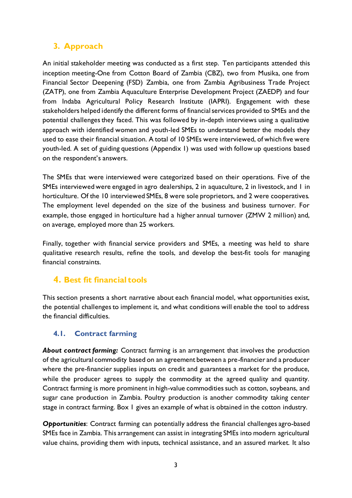## <span id="page-10-0"></span>**3. Approach**

An initial stakeholder meeting was conducted as a first step. Ten participants attended this inception meeting-One from Cotton Board of Zambia (CBZ), two from Musika, one from Financial Sector Deepening (FSD) Zambia, one from Zambia Agribusiness Trade Project (ZATP), one from Zambia Aquaculture Enterprise Development Project (ZAEDP) and four from Indaba Agricultural Policy Research Institute (IAPRI). Engagement with these stakeholders helped identify the different forms of financial services provided to SMEs and the potential challenges they faced. This was followed by in-depth interviews using a qualitative approach with identified women and youth-led SMEs to understand better the models they used to ease their financial situation. A total of 10 SMEs were interviewed, of which five were youth-led. A set of guiding questions (Appendix 1) was used with follow up questions based on the respondent's answers.

The SMEs that were interviewed were categorized based on their operations. Five of the SMEs interviewed were engaged in agro dealerships, 2 in aquaculture, 2 in livestock, and 1 in horticulture. Of the 10 interviewed SMEs, 8 were sole proprietors, and 2 were cooperatives. The employment level depended on the size of the business and business turnover. For example, those engaged in horticulture had a higher annual turnover (ZMW 2 million) and, on average, employed more than 25 workers.

<span id="page-10-1"></span>Finally, together with financial service providers and SMEs, a meeting was held to share qualitative research results, refine the tools, and develop the best-fit tools for managing financial constraints.

## **4. Best fit financial tools**

<span id="page-10-2"></span>This section presents a short narrative about each financial model, what opportunities exist, the potential challenges to implement it, and what conditions will enable the tool to address the financial difficulties.

### **4.1. Contract farming**

*About contract farming:* Contract farming is an arrangement that involves the production of the agricultural commodity based on an agreement between a pre-financier and a producer where the pre-financier supplies inputs on credit and guarantees a market for the produce, while the producer agrees to supply the commodity at the agreed quality and quantity. Contract farming is more prominent in high-value commodities such as cotton, soybeans, and sugar cane production in Zambia. Poultry production is another commodity taking center stage in contract farming. Box 1 gives an example of what is obtained in the cotton industry.

*Opportunities*: Contract farming can potentially address the financial challenges agro-based SMEs face in Zambia. This arrangement can assist in integrating SMEs into modern agricultural value chains, providing them with inputs, technical assistance, and an assured market. It also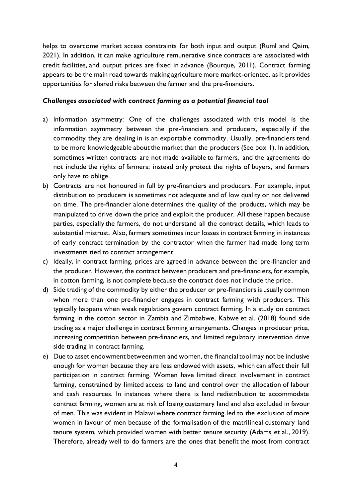helps to overcome market access constraints for both input and output (Ruml and Qaim, 2021). In addition, it can make agriculture remunerative since contracts are associated with credit facilities, and output prices are fixed in advance (Bourque, 2011). Contract farming appears to be the main road towards making agriculture more market-oriented, as it provides opportunities for shared risks between the farmer and the pre-financiers.

#### *Challenges associated with contract farming as a potential financial tool*

- a) Information asymmetry: One of the challenges associated with this model is the information asymmetry between the pre-financiers and producers, especially if the commodity they are dealing in is an exportable commodity. Usually, pre-financiers tend to be more knowledgeable about the market than the producers (See box 1). In addition, sometimes written contracts are not made available to farmers, and the agreements do not include the rights of farmers; instead only protect the rights of buyers, and farmers only have to oblige.
- b) Contracts are not honoured in full by pre-financiers and producers. For example, input distribution to producers is sometimes not adequate and of low quality or not delivered on time. The pre-financier alone determines the quality of the products, which may be manipulated to drive down the price and exploit the producer. All these happen because parties, especially the farmers, do not understand all the contract details, which leads to substantial mistrust. Also, farmers sometimes incur losses in contract farming in instances of early contract termination by the contractor when the farmer had made long term investments tied to contract arrangement.
- c) Ideally, in contract farming, prices are agreed in advance between the pre-financier and the producer. However, the contract between producers and pre-financiers, for example, in cotton farming, is not complete because the contract does not include the price.
- d) Side trading of the commodity by either the producer or pre-financiers is usually common when more than one pre-financier engages in contract farming with producers. This typically happens when weak regulations govern contract farming. In a study on contract farming in the cotton sector in Zambia and Zimbabwe, Kabwe et al. (2018) found side trading as a major challenge in contract farming arrangements. Changes in producer price, increasing competition between pre-financiers, and limited regulatory intervention drive side trading in contract farming.
- e) Due to asset endowment between men and women, the financial tool may not be inclusive enough for women because they are less endowed with assets, which can affect their full participation in contract farming. Women have limited direct involvement in contract farming, constrained by limited access to land and control over the allocation of labour and cash resources. In instances where there is land redistribution to accommodate contract farming, women are at risk of losing customary land and also excluded in favour of men. This was evident in Malawi where contract farming led to the exclusion of more women in favour of men because of the formalisation of the matrilineal customary land tenure system, which provided women with better tenure security (Adams et al., 2019). Therefore, already well to do farmers are the ones that benefit the most from contract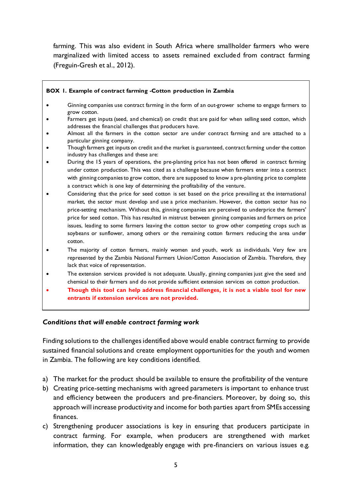farming. This was also evident in South Africa where smallholder farmers who were marginalized with limited access to assets remained excluded from contract farming (Freguin-Gresh et al., 2012).

#### **BOX 1. Example of contract farming -Cotton production in Zambia**

- Ginning companies use contract farming in the form of an out-grower scheme to engage farmers to grow cotton.
- Farmers get inputs (seed, and chemical) on credit that are paid for when selling seed cotton, which addresses the financial challenges that producers have.
- Almost all the farmers in the cotton sector are under contract farming and are attached to a particular ginning company.
- Though farmers get inputs on credit and the market is guaranteed, contract farming under the cotton industry has challenges and these are:
- During the 15 years of operations, the pre-planting price has not been offered in contract farming under cotton production. This was cited as a challenge because when farmers enter into a contract with ginning companies to grow cotton, there are supposed to know a pre-planting price to complete a contract which is one key of determining the profitability of the venture.
- Considering that the price for seed cotton is set based on the price prevailing at the international market, the sector must develop and use a price mechanism. However, the cotton sector has no price-setting mechanism. Without this, ginning companies are perceived to underprice the farmers' price for seed cotton. This has resulted in mistrust between ginning companies and farmers on price issues, leading to some farmers leaving the cotton sector to grow other competing crops such as soybeans or sunflower, among others or the remaining cotton farmers reducing the area under cotton.
- The majority of cotton farmers, mainly women and youth, work as individuals. Very few are represented by the Zambia National Farmers Union/Cotton Association of Zambia. Therefore, they lack that voice of representation.
- The extension services provided is not adequate. Usually, ginning companies just give the seed and chemical to their farmers and do not provide sufficient extension services on cotton production.
- **Though this tool can help address financial challenges, it is not a viable tool for new entrants if extension services are not provided.**

#### *Conditions that will enable contract farming work*

Finding solutions to the challenges identified above would enable contract farming to provide sustained financial solutions and create employment opportunities for the youth and women in Zambia. The following are key conditions identified.

- a) The market for the product should be available to ensure the profitability of the venture
- b) Creating price-setting mechanisms with agreed parameters is important to enhance trust and efficiency between the producers and pre-financiers. Moreover, by doing so, this approach will increase productivity and income for both parties apart from SMEs accessing finances.
- c) Strengthening producer associations is key in ensuring that producers participate in contract farming. For example, when producers are strengthened with market information, they can knowledgeably engage with pre-financiers on various issues e.g.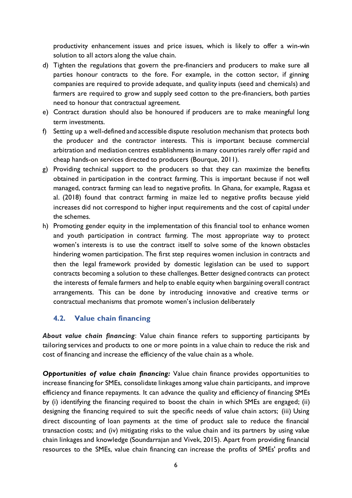productivity enhancement issues and price issues, which is likely to offer a win-win solution to all actors along the value chain.

- d) Tighten the regulations that govern the pre-financiers and producers to make sure all parties honour contracts to the fore. For example, in the cotton sector, if ginning companies are required to provide adequate, and quality inputs (seed and chemicals) and farmers are required to grow and supply seed cotton to the pre-financiers, both parties need to honour that contractual agreement.
- e) Contract duration should also be honoured if producers are to make meaningful long term investments.
- f) Setting up a well-defined and accessible dispute resolution mechanism that protects both the producer and the contractor interests. This is important because commercial arbitration and mediation centres establishments in many countries rarely offer rapid and cheap hands-on services directed to producers (Bourque, 2011).
- g) Providing technical support to the producers so that they can maximize the benefits obtained in participation in the contract farming. This is important because if not well managed, contract farming can lead to negative profits. In Ghana, for example, Ragasa et al. (2018) found that contract farming in maize led to negative profits because yield increases did not correspond to higher input requirements and the cost of capital under the schemes.
- h) Promoting gender equity in the implementation of this financial tool to enhance women and youth participation in contract farming. The most appropriate way to protect women's interests is to use the contract itself to solve some of the known obstacles hindering women participation. The first step requires women inclusion in contracts and then the legal framework provided by domestic legislation can be used to support contracts becoming a solution to these challenges. Better designed contracts can protect the interests of female farmers and help to enable equity when bargaining overall contract arrangements. This can be done by introducing innovative and creative terms or contractual mechanisms that promote women's inclusion deliberately

### <span id="page-13-0"></span>**4.2. Value chain financing**

*About value chain financing*: Value chain finance refers to supporting participants by tailoring services and products to one or more points in a value chain to reduce the risk and cost of financing and increase the efficiency of the value chain as a whole.

*Opportunities of value chain financing:* Value chain finance provides opportunities to increase financing for SMEs, consolidate linkages among value chain participants, and improve efficiency and finance repayments. It can advance the quality and efficiency of financing SMEs by (i) identifying the financing required to boost the chain in which SMEs are engaged; (ii) designing the financing required to suit the specific needs of value chain actors; (iii) Using direct discounting of loan payments at the time of product sale to reduce the financial transaction costs; and (iv) mitigating risks to the value chain and its partners by using value chain linkages and knowledge (Soundarrajan and Vivek, 2015). Apart from providing financial resources to the SMEs, value chain financing can increase the profits of SMEs' profits and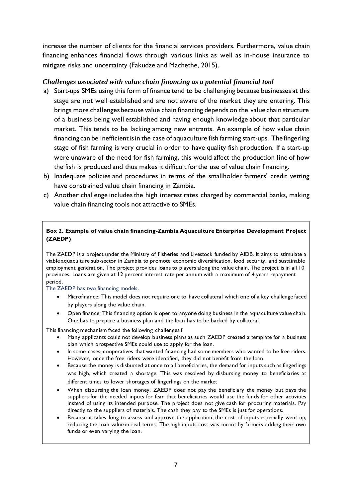increase the number of clients for the financial services providers. Furthermore, value chain financing enhances financial flows through various links as well as in-house insurance to mitigate risks and uncertainty (Fakudze and Machethe, 2015).

#### *Challenges associated with value chain financing as a potential financial tool*

- a) Start-ups SMEs using this form of finance tend to be challenging because businesses at this stage are not well established and are not aware of the market they are entering. This brings more challenges because value chain financing depends on the value chain structure of a business being well established and having enough knowledge about that particular market. This tends to be lacking among new entrants. An example of how value chain financing can be inefficient is in the case of aquaculture fish farming start-ups. The fingerling stage of fish farming is very crucial in order to have quality fish production. If a start-up were unaware of the need for fish farming, this would affect the production line of how the fish is produced and thus makes it difficult for the use of value chain financing.
- b) Inadequate policies and procedures in terms of the smallholder farmers' credit vetting have constrained value chain financing in Zambia.
- c) Another challenge includes the high interest rates charged by commercial banks, making value chain financing tools not attractive to SMEs.

#### **Box 2. Example of value chain financing-Zambia Aquaculture Enterprise Development Project (ZAEDP)**

The ZAEDP is a project under the Ministry of Fisheries and Livestock funded by AfDB. It aims to stimulate a viable aquaculture sub-sector in Zambia to promote economic diversification, food security, and sustainable employment generation. The project provides loans to players along the value chain. The project is in all 10 provinces. Loans are given at 12 percent interest rate per annum with a maximum of 4 years repayment period.

The ZAEDP has two financing models.

- Microfinance: This model does not require one to have collateral which one of a key challenge faced by players along the value chain.
- Open finance: This financing option is open to anyone doing business in the aquaculture value chain. One has to prepare a business plan and the loan has to be backed by collateral.

This financing mechanism faced the following challenges f

- Many applicants could not develop business plans as such ZAEDP created a template for a business plan which prospective SMEs could use to apply for the loan.
- In some cases, cooperatives that wanted financing had some members who wanted to be free riders. However, once the free riders were identified, they did not benefit from the loan.
- Because the money is disbursed at once to all beneficiaries, the demand for inputs such as fingerlings was high, which created a shortage. This was resolved by disbursing money to beneficiaries at different times to lower shortages of fingerlings on the market
- When disbursing the loan money, ZAEDP does not pay the beneficiary the money but pays the suppliers for the needed inputs for fear that beneficiaries would use the funds for other activities instead of using its intended purpose. The project does not give cash for procuring materials. Pay directly to the suppliers of materials. The cash they pay to the SMEs is just for operations.
- Because it takes long to assess and approve the application, the cost of inputs especially went up, reducing the loan value in real terms. The high inputs cost was meant by farmers adding their own funds or even varying the loan.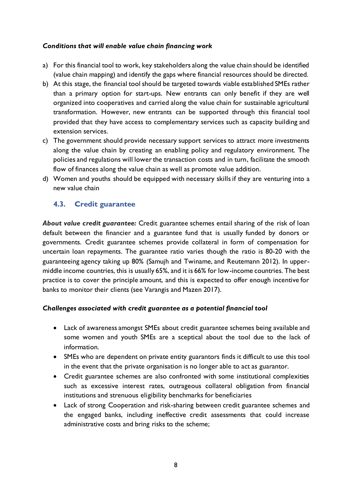#### *Conditions that will enable value chain financing work*

- a) For this financial tool to work, key stakeholders along the value chain should be identified (value chain mapping) and identify the gaps where financial resources should be directed.
- b) At this stage, the financial tool should be targeted towards viable established SMEs rather than a primary option for start-ups. New entrants can only benefit if they are well organized into cooperatives and carried along the value chain for sustainable agricultural transformation. However, new entrants can be supported through this financial tool provided that they have access to complementary services such as capacity building and extension services.
- c) The government should provide necessary support services to attract more investments along the value chain by creating an enabling policy and regulatory environment. The policies and regulations will lower the transaction costs and in turn, facilitate the smooth flow of finances along the value chain as well as promote value addition.
- <span id="page-15-0"></span>d) Women and youths should be equipped with necessary skills if they are venturing into a new value chain

### **4.3. Credit guarantee**

*About value credit guarantee:* Credit guarantee schemes entail sharing of the risk of loan default between the financier and a guarantee fund that is usually funded by donors or governments. Credit guarantee schemes provide collateral in form of compensation for uncertain loan repayments. The guarantee ratio varies though the ratio is 80-20 with the guaranteeing agency taking up 80% (Samujh and Twiname, and Reutemann 2012). In uppermiddle income countries, this is usually 65%, and it is 66% for low-income countries. The best practice is to cover the principle amount, and this is expected to offer enough incentive for banks to monitor their clients (see Varangis and Mazen 2017).

#### *Challenges associated with credit guarantee as a potential financial tool*

- Lack of awareness amongst SMEs about credit guarantee schemes being available and some women and youth SMEs are a sceptical about the tool due to the lack of information.
- SMEs who are dependent on private entity guarantors finds it difficult to use this tool in the event that the private organisation is no longer able to act as guarantor.
- Credit guarantee schemes are also confronted with some institutional complexities such as excessive interest rates, outrageous collateral obligation from financial institutions and strenuous eligibility benchmarks for beneficiaries
- Lack of strong Cooperation and risk-sharing between credit guarantee schemes and the engaged banks, including ineffective credit assessments that could increase administrative costs and bring risks to the scheme;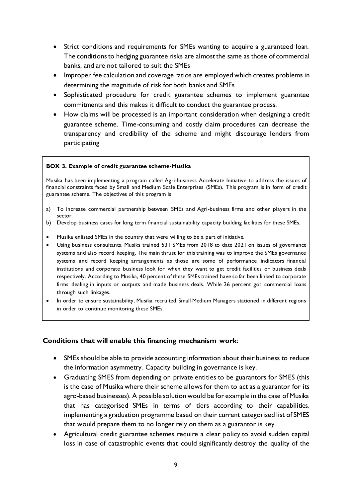- Strict conditions and requirements for SMEs wanting to acquire a guaranteed loan. The conditions to hedging guarantee risks are almost the same as those of commercial banks, and are not tailored to suit the SMEs
- Improper fee calculation and coverage ratios are employed which creates problems in determining the magnitude of risk for both banks and SMEs
- Sophisticated procedure for credit guarantee schemes to implement guarantee commitments and this makes it difficult to conduct the guarantee process.
- How claims will be processed is an important consideration when designing a credit guarantee scheme. Time-consuming and costly claim procedures can decrease the transparency and credibility of the scheme and might discourage lenders from participating

#### **BOX 3. Example of credit guarantee scheme-Musika**

Musika has been implementing a program called Agri-business Accelerate Initiative to address the issues of financial constraints faced by Small and Medium Scale Enterprises (SMEs). This program is in form of credit guarantee scheme. The objectives of this program is

- a) To increase commercial partnership between SMEs and Agri-business firms and other players in the sector.
- b) Develop business cases for long term financial sustainability capacity building facilities for these SMEs.
- Musika enlisted SMEs in the country that were willing to be a part of initiative.
- Using business consultants, Musiks trained 531 SMEs from 2018 to date 2021 on issues of governance systems and also record keeping. The main thrust for this training was to improve the SMEs governance systems and record keeping arrangements as those are some of performance indicators financial institutions and corporate business look for when they want to get credit facilities or business deals respectively. According to Musika, 40 percent of these SMEs trained have so far been linked to corporate firms dealing in inputs or outputs and made business deals. While 26 percent got commercial loans through such linkages.
- In order to ensure sustainability, Musika recruited Small Medium Managers stationed in different regions in order to continue monitoring these SMEs.

#### **Conditions that will enable this financing mechanism work**:

- SMEs should be able to provide accounting information about their business to reduce the information asymmetry. Capacity building in governance is key.
- Graduating SMES from depending on private entities to be guarantors for SMES (this is the case of Musika where their scheme allows for them to act as a guarantor for its agro-based businesses). A possible solution would be for example in the case of Musika that has categorised SMEs in terms of tiers according to their capabilities, implementing a graduation programme based on their current categorised list of SMES that would prepare them to no longer rely on them as a guarantor is key.
- Agricultural credit guarantee schemes require a clear policy to avoid sudden capital loss in case of catastrophic events that could significantly destroy the quality of the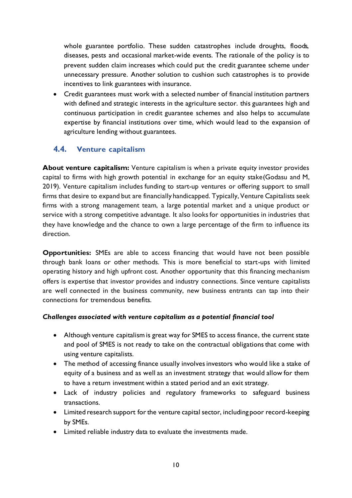whole guarantee portfolio. These sudden catastrophes include droughts, floods, diseases, pests and occasional market-wide events. The rationale of the policy is to prevent sudden claim increases which could put the credit guarantee scheme under unnecessary pressure. Another solution to cushion such catastrophes is to provide incentives to link guarantees with insurance.

<span id="page-17-0"></span> Credit guarantees must work with a selected number of financial institution partners with defined and strategic interests in the agriculture sector. this guarantees high and continuous participation in credit guarantee schemes and also helps to accumulate expertise by financial institutions over time, which would lead to the expansion of agriculture lending without guarantees.

### **4.4. Venture capitalism**

**About venture capitalism:** Venture capitalism is when a private equity investor provides capital to firms with high growth potential in exchange for an equity stake(Godasu and M, 2019). Venture capitalism includes funding to start-up ventures or offering support to small firms that desire to expand but are financially handicapped. Typically, Venture Capitalists seek firms with a strong management team, a large potential market and a unique product or service with a strong competitive advantage. It also looks for opportunities in industries that they have knowledge and the chance to own a large percentage of the firm to influence its direction.

**Opportunities:** SMEs are able to access financing that would have not been possible through bank loans or other methods. This is more beneficial to start-ups with limited operating history and high upfront cost. Another opportunity that this financing mechanism offers is expertise that investor provides and industry connections. Since venture capitalists are well connected in the business community, new business entrants can tap into their connections for tremendous benefits.

#### *Challenges associated with venture capitalism as a potential financial tool*

- Although venture capitalism is great way for SMES to access finance, the current state and pool of SMES is not ready to take on the contractual obligations that come with using venture capitalists.
- The method of accessing finance usually involves investors who would like a stake of equity of a business and as well as an investment strategy that would allow for them to have a return investment within a stated period and an exit strategy.
- Lack of industry policies and regulatory frameworks to safeguard business transactions.
- Limited research support for the venture capital sector, including poor record-keeping by SMEs.
- Limited reliable industry data to evaluate the investments made.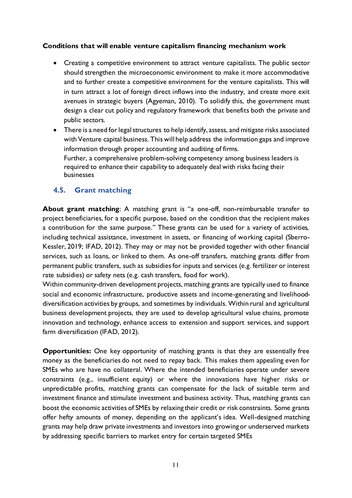#### **Conditions that will enable venture capitalism financing mechanism work**

- Creating a competitive environment to attract venture capitalists. The public sector should strengthen the microeconomic environment to make it more accommodative and to further create a competitive environment for the venture capitalists. This will in turn attract a lot of foreign direct inflows into the industry, and create more exit avenues in strategic buyers (Agyeman, 2010). To solidify this, the government must design a clear cut policy and regulatory framework that benefits both the private and public sectors.
- <span id="page-18-0"></span> There is a need for legal structures to help identify, assess, and mitigate risks associated with Venture capital business. This will help address the information gaps and improve information through proper accounting and auditing of firms. Further, a comprehensive problem-solving competency among business leaders is required to enhance their capability to adequately deal with risks facing their businesses

#### **4.5. Grant matching**

**About grant matching**: A matching grant is "a one-off, non-reimbursable transfer to project beneficiaries, for a specific purpose, based on the condition that the recipient makes a contribution for the same purpose." These grants can be used for a variety of activities, including technical assistance, investment in assets, or financing of working capital (Sberro-Kessler, 2019; IFAD, 2012). They may or may not be provided together with other financial services, such as loans, or linked to them. As one-off transfers, matching grants differ from permanent public transfers, such as subsidies for inputs and services (e.g. fertilizer or interest rate subsidies) or safety nets (e.g. cash transfers, food for work).

Within community-driven development projects, matching grants are typically used to finance social and economic infrastructure, productive assets and income-generating and livelihooddiversification activities by groups, and sometimes by individuals. Within rural and agricultural business development projects, they are used to develop agricultural value chains, promote innovation and technology, enhance access to extension and support services, and support farm diversification (IFAD, 2012).

**Opportunities:** One key opportunity of matching grants is that they are essentially free money as the beneficiaries do not need to repay back. This makes them appealing even for SMEs who are have no collateral. Where the intended beneficiaries operate under severe constraints (e.g., insufficient equity) or where the innovations have higher risks or unpredictable profits, matching grants can compensate for the lack of suitable term and investment finance and stimulate investment and business activity. Thus, matching grants can boost the economic activities of SMEs by relaxing their credit or risk constraints. Some grants offer hefty amounts of money, depending on the applicant's idea. Well-designed matching grants may help draw private investments and investors into growing or underserved markets by addressing specific barriers to market entry for certain targeted SMEs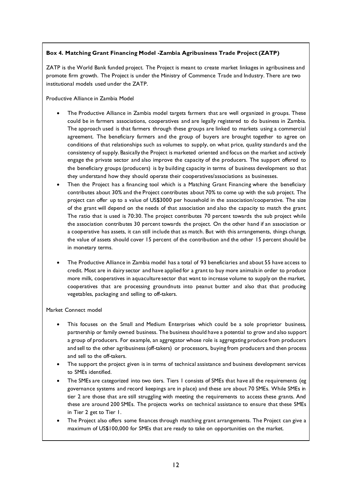#### **Box 4. Matching Grant Financing Model -Zambia Agribusiness Trade Project (ZATP)**

ZATP is the World Bank funded project. The Project is meant to create market linkages in agribusiness and promote firm growth. The Project is under the Ministry of Commence Trade and Industry. There are two institutional models used under the ZATP.

Productive Alliance in Zambia Model

- The Productive Alliance in Zambia model targets farmers that are well organized in groups. These could be in farmers associations, cooperatives and are legally registered to do business in Zambia. The approach used is that farmers through these groups are linked to markets using a commercial agreement. The beneficiary farmers and the group of buyers are brought together to agree on conditions of that relationships such as volumes to supply, on what price, quality standards and the consistency of supply. Basically the Project is marketed oriented and focus on the market and actively engage the private sector and also improve the capacity of the producers. The support offered to the beneficiary groups (producers) is by building capacity in terms of business development so that they understand how they should operate their cooperatives/associations as businesses.
- Then the Project has a financing tool which is a Matching Grant Financing where the beneficiary contributes about 30% and the Project contributes about 70% to come up with the sub project. The project can offer up to a value of US\$3000 per household in the association/cooperative. The size of the grant will depend on the needs of that association and also the capacity to match the grant. The ratio that is used is 70:30. The project contributes 70 percent towards the sub project while the association contributes 30 percent towards the project. On the other hand if an association or a cooperative has assets, it can still include that as match. But with this arrangements, things change, the value of assets should cover 15 percent of the contribution and the other 15 percent should be in monetary terms.
- The Productive Alliance in Zambia model has a total of 93 beneficiaries and about 55 have access to credit. Most are in dairy sector and have applied for a grant to buy more animals in order to produce more milk, cooperatives in aquaculture sector that want to increase volume to supply on the market, cooperatives that are processing groundnuts into peanut butter and also that that producing vegetables, packaging and selling to off-takers.

#### Market Connect model

- This focuses on the Small and Medium Enterprises which could be a sole proprietor business, partnership or family owned business. The business should have a potential to grow and also support a group of producers. For example, an aggregator whose role is aggregating produce from producers and sell to the other agribusiness (off-takers) or processors, buying from producers and then process and sell to the off-takers.
- The support the project given is in terms of technical assistance and business development services to SMEs identified.
- The SMEs are categorized into two tiers. Tiers 1 consists of SMEs that have all the requirements (eg governance systems and record keepings are in place) and these are about 70 SMEs. While SMEs in tier 2 are those that are still struggling with meeting the requirements to access these grants. And these are around 200 SMEs. The projects works on technical assistance to ensure that these SMEs in Tier 2 get to Tier 1.
- The Project also offers some finances through matching grant arrangements. The Project can give a maximum of US\$100,000 for SMEs that are ready to take on opportunities on the market.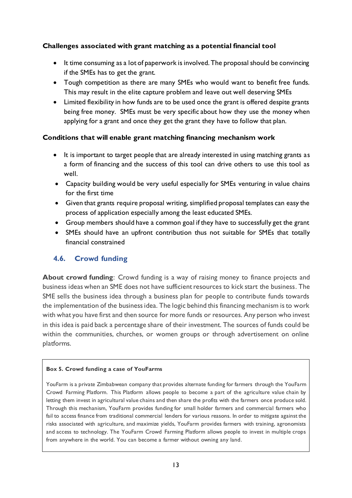### **Challenges associated with grant matching as a potential financial tool**

- It time consuming as a lot of paperwork is involved. The proposal should be convincing if the SMEs has to get the grant.
- Tough competition as there are many SMEs who would want to benefit free funds. This may result in the elite capture problem and leave out well deserving SMEs
- Limited flexibility in how funds are to be used once the grant is offered despite grants being free money. SMEs must be very specific about how they use the money when applying for a grant and once they get the grant they have to follow that plan.

#### **Conditions that will enable grant matching financing mechanism work**

- It is important to target people that are already interested in using matching grants as a form of financing and the success of this tool can drive others to use this tool as well.
- Capacity building would be very useful especially for SMEs venturing in value chains for the first time
- Given that grants require proposal writing, simplified proposal templates can easy the process of application especially among the least educated SMEs.
- Group members should have a common goal if they have to successfully get the grant
- <span id="page-20-0"></span> SMEs should have an upfront contribution thus not suitable for SMEs that totally financial constrained

### **4.6. Crowd funding**

**About crowd funding**: Crowd funding is a way of raising money to finance projects and business ideas when an SME does not have sufficient resources to kick start the business. The SME sells the business idea through a business plan for people to contribute funds towards the implementation of the business idea. The logic behind this financing mechanism is to work with what you have first and then source for more funds or resources. Any person who invest in this idea is paid back a percentage share of their investment. The sources of funds could be within the communities, churches, or women groups or through advertisement on online platforms.

#### **Box 5. Crowd funding a case of YouFarms**

YouFarm is a private Zimbabwean company that provides alternate funding for farmers through the YouFarm Crowd Farming Platform. This Platform allows people to become a part of the agriculture value chain by letting them invest in agricultural value chains and then share the profits with the farmers once produce sold. Through this mechanism, YouFarm provides funding for small holder farmers and commercial farmers who fail to access finance from traditional commercial lenders for various reasons. In order to mitigate against the risks associated with agriculture, and maximize yields, YouFarm provides farmers with training, agronomists and access to technology. The YouFarm Crowd Farming Platform allows people to invest in multiple crops from anywhere in the world. You can become a farmer without owning any land.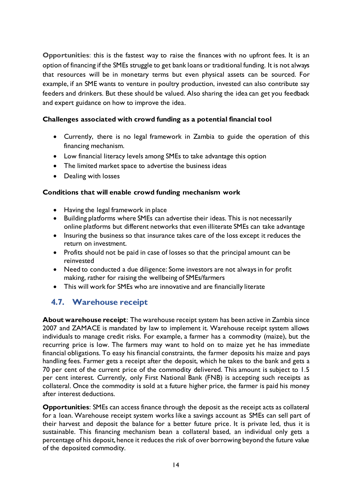**Opportunities**: this is the fastest way to raise the finances with no upfront fees. It is an option of financing if the SMEs struggle to get bank loans or traditional funding. It is not always that resources will be in monetary terms but even physical assets can be sourced. For example, if an SME wants to venture in poultry production, invested can also contribute say feeders and drinkers. But these should be valued. Also sharing the idea can get you feedback and expert guidance on how to improve the idea.

#### **Challenges associated with crowd funding as a potential financial tool**

- Currently, there is no legal framework in Zambia to guide the operation of this financing mechanism.
- Low financial literacy levels among SMEs to take advantage this option
- The limited market space to advertise the business ideas
- Dealing with losses

#### **Conditions that will enable crowd funding mechanism work**

- Having the legal framework in place
- Building platforms where SMEs can advertise their ideas. This is not necessarily online platforms but different networks that even illiterate SMEs can take advantage
- Insuring the business so that insurance takes care of the loss except it reduces the return on investment.
- Profits should not be paid in case of losses so that the principal amount can be reinvested
- <span id="page-21-0"></span> Need to conducted a due diligence: Some investors are not always in for profit making, rather for raising the wellbeing of SMEs/farmers
- This will work for SMEs who are innovative and are financially literate

## **4.7. Warehouse receipt**

**About warehouse receipt**: The warehouse receipt system has been active in Zambia since 2007 and ZAMACE is mandated by law to implement it. Warehouse receipt system allows individuals to manage credit risks. For example, a farmer has a commodity (maize), but the recurring price is low. The farmers may want to hold on to maize yet he has immediate financial obligations. To easy his financial constraints, the farmer deposits his maize and pays handling fees. Farmer gets a receipt after the deposit, which he takes to the bank and gets a 70 per cent of the current price of the commodity delivered. This amount is subject to 1.5 per cent interest. Currently, only First National Bank (FNB) is accepting such receipts as collateral. Once the commodity is sold at a future higher price, the farmer is paid his money after interest deductions.

**Opportunities**: SMEs can access finance through the deposit as the receipt acts as collateral for a loan. Warehouse receipt system works like a savings account as SMEs can sell part of their harvest and deposit the balance for a better future price. It is private led, thus it is sustainable. This financing mechanism bean a collateral based, an individual only gets a percentage of his deposit, hence it reduces the risk of over borrowing beyond the future value of the deposited commodity.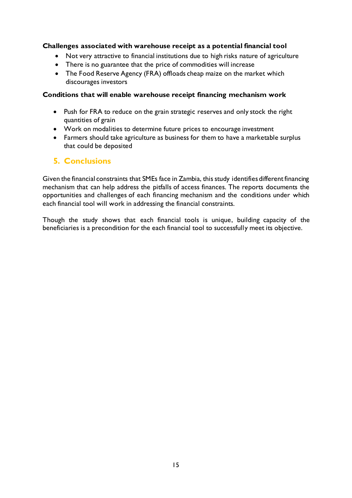#### **Challenges associated with warehouse receipt as a potential financial tool**

- Not very attractive to financial institutions due to high risks nature of agriculture
- There is no guarantee that the price of commodities will increase
- The Food Reserve Agency (FRA) offloads cheap maize on the market which discourages investors

#### **Conditions that will enable warehouse receipt financing mechanism work**

- Push for FRA to reduce on the grain strategic reserves and only stock the right quantities of grain
- <span id="page-22-0"></span>Work on modalities to determine future prices to encourage investment
- Farmers should take agriculture as business for them to have a marketable surplus that could be deposited

## **5. Conclusions**

Given the financial constraints that SMEs face in Zambia, this study identifies different financing mechanism that can help address the pitfalls of access finances. The reports documents the opportunities and challenges of each financing mechanism and the conditions under which each financial tool will work in addressing the financial constraints.

Though the study shows that each financial tools is unique, building capacity of the beneficiaries is a precondition for the each financial tool to successfully meet its objective.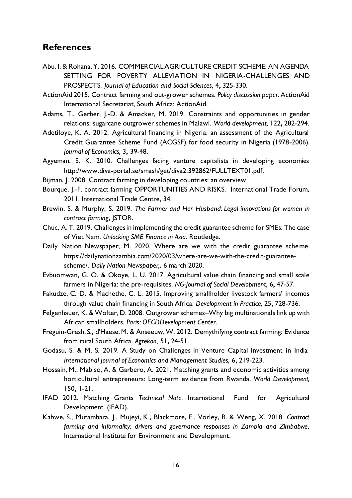## <span id="page-23-0"></span>**References**

- Abu, I. & Rohana, Y. 2016. COMMERCIAL AGRICULTURE CREDIT SCHEME: AN AGENDA SETTING FOR POVERTY ALLEVIATION IN NIGERIA-CHALLENGES AND PROSPECTS. *Journal of Education and Social Sciences,* 4**,** 325-330.
- ActionAid 2015. Contract farming and out-grower schemes. *Policy discussion paper.* ActionAid International Secretariat, South Africa: ActionAid.
- Adams, T., Gerber, J.-D. & Amacker, M. 2019. Constraints and opportunities in gender relations: sugarcane outgrower schemes in Malawi. *World development,* 122**,** 282-294.
- Adetiloye, K. A. 2012. Agricultural financing in Nigeria: an assessment of the Agricultural Credit Guarantee Scheme Fund (ACGSF) for food security in Nigeria (1978-2006). *Journal of Economics,* 3**,** 39-48.
- Agyeman, S. K. 2010. Challenges facing venture capitalists in developing economies [http://www.diva-portal.se/smash/get/diva2:392862/FULLTEXT01.pd](http://www.diva-portal.se/smash/get/diva2:392862/FULLTEXT01.pdf)f.
- Bijman, J. 2008. Contract farming in developing countries: an overview.
- Bourque, J.-F. contract farming OPPORTUNITIES AND RISKS. International Trade Forum, 2011. International Trade Centre, 34.
- Brewin, S. & Murphy, S. 2019. *The Farmer and Her Husband: Legal innovations for women in contract farming*, JSTOR.
- Chuc, A. T. 2019. Challenges in implementing the credit guarantee scheme for SMEs: The case of Viet Nam. *Unlocking SME Finance in Asia.* Routledge.
- Daily Nation Newspaper, M. 2020. Where are we with the credit guarantee scheme. [https://dailynationzambia.com/2020/03/where-are-we-with-the-credit-guarantee](https://dailynationzambia.com/2020/03/where-are-we-with-the-credit-guarantee-scheme/)[scheme/.](https://dailynationzambia.com/2020/03/where-are-we-with-the-credit-guarantee-scheme/) *Daily Nation Newspaper,*, 6 march 2020.
- Evbuomwan, G. O. & Okoye, L. U. 2017. Agricultural value chain financing and small scale farmers in Nigeria: the pre-requisites. *NG-Journal of Social Development,* 6**,** 47-57.
- Fakudze, C. D. & Machethe, C. L. 2015. Improving smallholder livestock farmers' incomes through value chain financing in South Africa. *Development in Practice,* 25**,** 728-736.
- Felgenhauer, K. & Wolter, D. 2008. Outgrower schemes–Why big multinationals link up with African smallholders. *Paris: OECDDevelopment Center*.
- Freguin-Gresh, S., d'Haese, M. & Anseeuw, W. 2012. Demythifying contract farming: Evidence from rural South Africa. *Agrekon,* 51**,** 24-51.
- Godasu, S. & M, S. 2019. A Study on Challenges in Venture Capital Investment in India. *International Journal of Economics and Management Studies,* 6**,** 219-223.
- Hossain, M., Mabiso, A. & Garbero, A. 2021. Matching grants and economic activities among horticultural entrepreneurs: Long-term evidence from Rwanda. *World Development,* 150**,** 1-21.
- IFAD 2012. Matching Grants *Technical Note.* International Fund for Agricultural Development (IFAD).
- Kabwe, S., Mutambara, J., Mujeyi, K., Blackmore, E., Vorley, B. & Weng, X. 2018. *Contract farming and informality: drivers and governance responses in Zambia and Zimbabwe*, International Institute for Environment and Development.